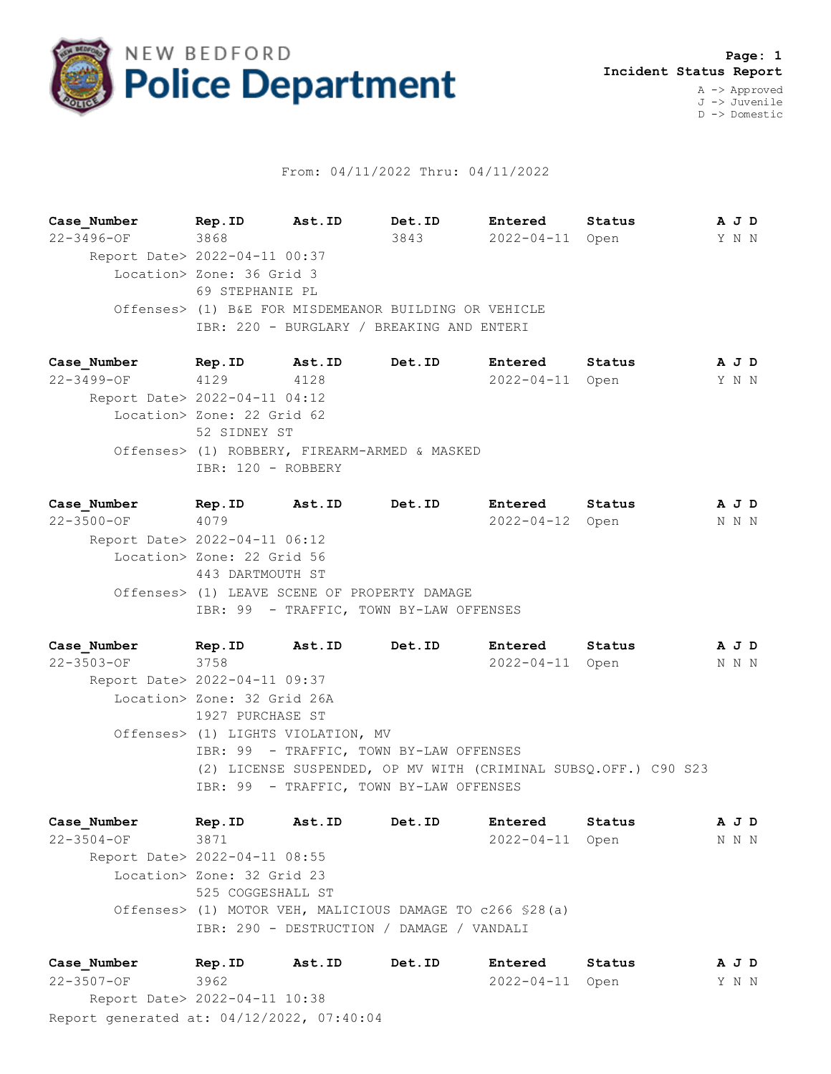

## From: 04/11/2022 Thru: 04/11/2022

**Case\_Number Rep.ID Ast.ID Det.ID Entered Status A J D** 22-3496-OF 3868 3843 2022-04-11 Open Y N N Report Date> 2022-04-11 00:37 Location> Zone: 36 Grid 3 69 STEPHANIE PL Offenses> (1) B&E FOR MISDEMEANOR BUILDING OR VEHICLE IBR: 220 - BURGLARY / BREAKING AND ENTERI

**Case\_Number Rep.ID Ast.ID Det.ID Entered Status A J D** 22-3499-OF 4129 4128 2022-04-11 Open Y N N Report Date> 2022-04-11 04:12 Location> Zone: 22 Grid 62 52 SIDNEY ST Offenses> (1) ROBBERY, FIREARM-ARMED & MASKED IBR: 120 - ROBBERY

**Case\_Number Rep.ID Ast.ID Det.ID Entered Status A J D** 22-3500-OF 4079 2022-04-12 Open N N N Report Date> 2022-04-11 06:12 Location> Zone: 22 Grid 56 443 DARTMOUTH ST Offenses> (1) LEAVE SCENE OF PROPERTY DAMAGE IBR: 99 - TRAFFIC, TOWN BY-LAW OFFENSES

**Case\_Number Rep.ID Ast.ID Det.ID Entered Status A J D** 22-3503-OF 3758 2022-04-11 Open N N N Report Date> 2022-04-11 09:37 Location> Zone: 32 Grid 26A 1927 PURCHASE ST Offenses> (1) LIGHTS VIOLATION, MV IBR: 99 - TRAFFIC, TOWN BY-LAW OFFENSES (2) LICENSE SUSPENDED, OP MV WITH (CRIMINAL SUBSQ.OFF.) C90 S23 IBR: 99 - TRAFFIC, TOWN BY-LAW OFFENSES

**Case\_Number Rep.ID Ast.ID Det.ID Entered Status A J D** 22-3504-OF 3871 2022-04-11 Open N N N Report Date> 2022-04-11 08:55 Location> Zone: 32 Grid 23 525 COGGESHALL ST Offenses> (1) MOTOR VEH, MALICIOUS DAMAGE TO c266 §28(a) IBR: 290 - DESTRUCTION / DAMAGE / VANDALI

Report generated at: 04/12/2022, 07:40:04 **Case\_Number Rep.ID Ast.ID Det.ID Entered Status A J D** 22-3507-OF 3962 2022-04-11 Open Y N N Report Date> 2022-04-11 10:38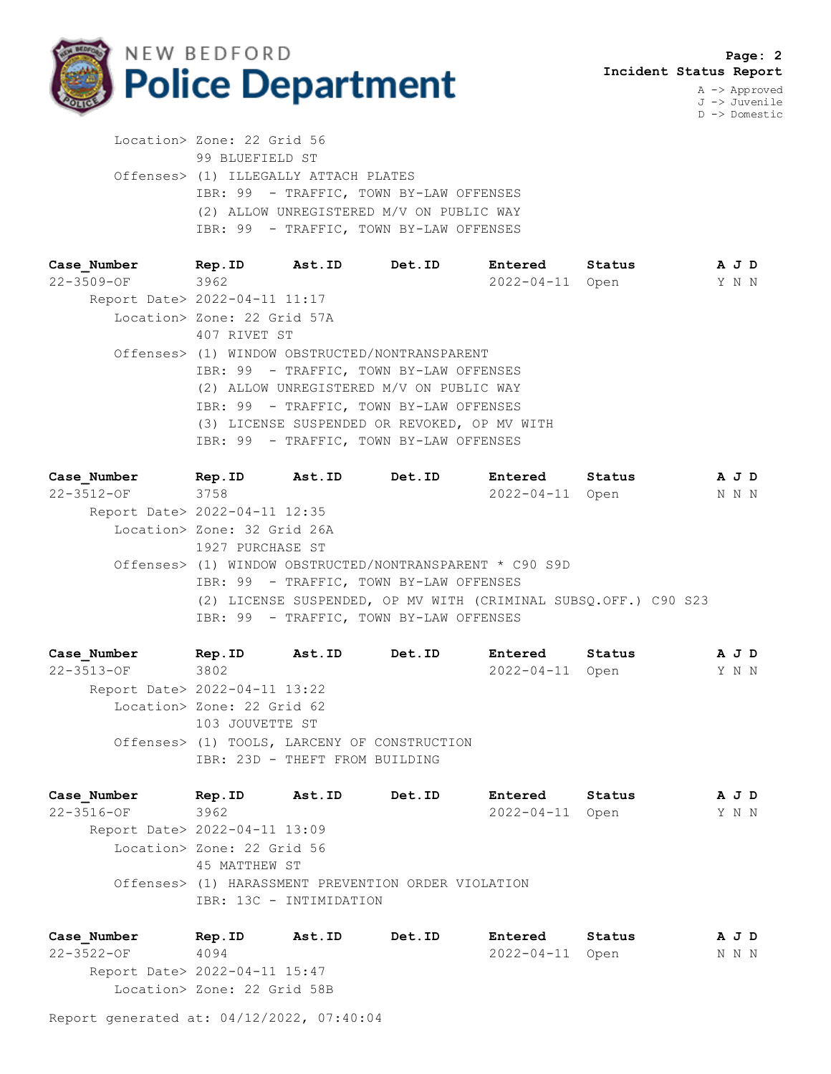

J -> Juvenile D -> Domestic

 Location> Zone: 22 Grid 56 99 BLUEFIELD ST Offenses> (1) ILLEGALLY ATTACH PLATES IBR: 99 - TRAFFIC, TOWN BY-LAW OFFENSES (2) ALLOW UNREGISTERED M/V ON PUBLIC WAY IBR: 99 - TRAFFIC, TOWN BY-LAW OFFENSES

| Case Number                   | Rep.ID                                         | Ast.ID | <b>Det.ID</b>                            | <b>Entered</b>   | Status | A J D |  |  |
|-------------------------------|------------------------------------------------|--------|------------------------------------------|------------------|--------|-------|--|--|
| 22-3509-OF                    | 3962                                           |        |                                          | $2022 - 04 - 11$ | Open   | Y N N |  |  |
| Report Date> 2022-04-11 11:17 |                                                |        |                                          |                  |        |       |  |  |
|                               | Location> Zone: 22 Grid 57A                    |        |                                          |                  |        |       |  |  |
|                               | 407 RIVET ST                                   |        |                                          |                  |        |       |  |  |
|                               | Offenses> (1) WINDOW OBSTRUCTED/NONTRANSPARENT |        |                                          |                  |        |       |  |  |
|                               | IBR: 99 - TRAFFIC, TOWN BY-LAW OFFENSES        |        |                                          |                  |        |       |  |  |
|                               |                                                |        | (2) ALLOW UNREGISTERED M/V ON PUBLIC WAY |                  |        |       |  |  |
|                               | IBR: 99 - TRAFFIC, TOWN BY-LAW OFFENSES        |        |                                          |                  |        |       |  |  |
|                               | (3) LICENSE SUSPENDED OR REVOKED, OP MV WITH   |        |                                          |                  |        |       |  |  |
|                               |                                                |        | IBR: 99 - TRAFFIC, TOWN BY-LAW OFFENSES  |                  |        |       |  |  |

| Case Number                   | Rep.ID                      | Ast.ID | <b>Det.ID</b>                                                   | Entered         | Status | A J D |  |
|-------------------------------|-----------------------------|--------|-----------------------------------------------------------------|-----------------|--------|-------|--|
| 22-3512-OF                    | 3758                        |        |                                                                 | 2022-04-11 Open |        | N N N |  |
| Report Date> 2022-04-11 12:35 |                             |        |                                                                 |                 |        |       |  |
|                               | Location> Zone: 32 Grid 26A |        |                                                                 |                 |        |       |  |
|                               | 1927 PURCHASE ST            |        |                                                                 |                 |        |       |  |
|                               |                             |        | Offenses> (1) WINDOW OBSTRUCTED/NONTRANSPARENT * C90 S9D        |                 |        |       |  |
|                               |                             |        | IBR: 99 - TRAFFIC, TOWN BY-LAW OFFENSES                         |                 |        |       |  |
|                               |                             |        | (2) LICENSE SUSPENDED, OP MV WITH (CRIMINAL SUBSO.OFF.) C90 S23 |                 |        |       |  |
|                               |                             |        | IBR: 99 - TRAFFIC, TOWN BY-LAW OFFENSES                         |                 |        |       |  |

**Case\_Number Rep.ID Ast.ID Det.ID Entered Status A J D** 22-3513-OF 3802 2022-04-11 Open Y N N Report Date> 2022-04-11 13:22 Location> Zone: 22 Grid 62 103 JOUVETTE ST Offenses> (1) TOOLS, LARCENY OF CONSTRUCTION IBR: 23D - THEFT FROM BUILDING

**Case\_Number Rep.ID Ast.ID Det.ID Entered Status A J D** 22-3516-OF 3962 2022-04-11 Open Y N N Report Date> 2022-04-11 13:09 Location> Zone: 22 Grid 56 45 MATTHEW ST Offenses> (1) HARASSMENT PREVENTION ORDER VIOLATION IBR: 13C - INTIMIDATION

**Case\_Number Rep.ID Ast.ID Det.ID Entered Status A J D** 22-3522-OF 4094 2022-04-11 Open N N N Report Date> 2022-04-11 15:47 Location> Zone: 22 Grid 58B

Report generated at: 04/12/2022, 07:40:04